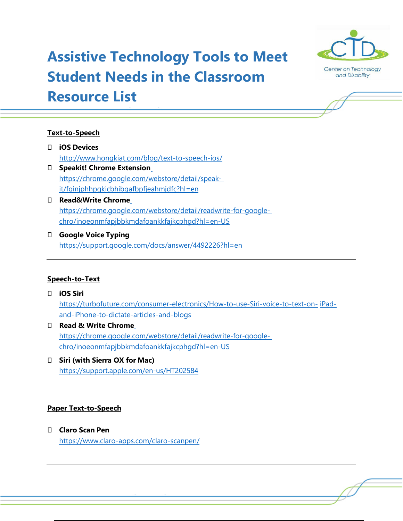# **Assistive Technology Tools to Meet Student Needs in the Classroom Resource List**



# **Text-to-Speech**

- **iOS Devices** <http://www.hongkiat.com/blog/text-to-speech-ios/>
- **Speakit! Chrome Extensio[n](https://chrome.google.com/webstore/detail/speak-it/fginjphhpgkicbhibgafbpfjeahmjdfc?hl=en)** [https://chrome.google.com/webstore/detail/speak](https://chrome.google.com/webstore/detail/speak-it/fginjphhpgkicbhibgafbpfjeahmjdfc?hl=en)[it/fginjphhpgkicbhibgafbpfjeahmjdfc?hl=en](https://chrome.google.com/webstore/detail/speak-it/fginjphhpgkicbhibgafbpfjeahmjdfc?hl=en)
- **Read&Write Chrom[e](https://chrome.google.com/webstore/detail/readwrite-for-google-chro/inoeonmfapjbbkmdafoankkfajkcphgd?hl=en-US)** [https://chrome.google.com/webstore/detail/readwrite-for-google](https://chrome.google.com/webstore/detail/readwrite-for-google-chro/inoeonmfapjbbkmdafoankkfajkcphgd?hl=en-US)[chro/inoeonmfapjbbkmdafoankkfajkcphgd?hl=en-US](https://chrome.google.com/webstore/detail/readwrite-for-google-chro/inoeonmfapjbbkmdafoankkfajkcphgd?hl=en-US)
- **Google Voice Typing** <https://support.google.com/docs/answer/4492226?hl=en>

# **Speech-to-Text**

# **iOS Siri** [https://turbofuture.com/consumer-electronics/How-to-use-Siri-voice-to-text-on-](https://turbofuture.com/consumer-electronics/How-to-use-Siri-voice-to-text-on-iPad-and-iPhone-to-dictate-articles-and-blogs) [iPad](https://turbofuture.com/consumer-electronics/How-to-use-Siri-voice-to-text-on-iPad-and-iPhone-to-dictate-articles-and-blogs)[and-iPhone-to-dictate-articles-and-blogs](https://turbofuture.com/consumer-electronics/How-to-use-Siri-voice-to-text-on-iPad-and-iPhone-to-dictate-articles-and-blogs)

- **Read & Write Chrom[e](https://chrome.google.com/webstore/detail/readwrite-for-google-chro/inoeonmfapjbbkmdafoankkfajkcphgd?hl=en-US)** [https://chrome.google.com/webstore/detail/readwrite-for-google](https://chrome.google.com/webstore/detail/readwrite-for-google-chro/inoeonmfapjbbkmdafoankkfajkcphgd?hl=en-US)[chro/inoeonmfapjbbkmdafoankkfajkcphgd?hl=en-US](https://chrome.google.com/webstore/detail/readwrite-for-google-chro/inoeonmfapjbbkmdafoankkfajkcphgd?hl=en-US)
- **Siri (with Sierra OX for Mac)** <https://support.apple.com/en-us/HT202584>

# **Paper Text-to-Speech**

 **Claro Scan Pen** <https://www.claro-apps.com/claro-scanpen/>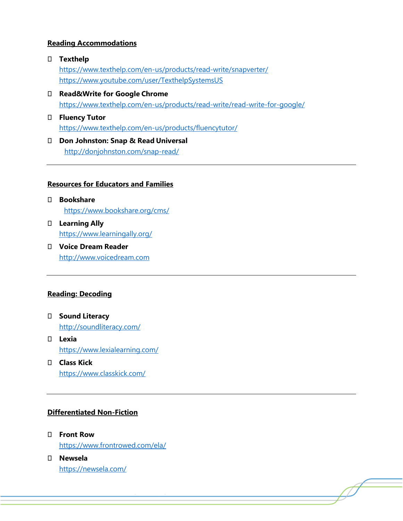## **Reading Accommodations**

- **Texthelp** <https://www.texthelp.com/en-us/products/read-write/snapverter/> <https://www.youtube.com/user/TexthelpSystemsUS>
- **Read&Write for Google Chrome** <https://www.texthelp.com/en-us/products/read-write/read-write-for-google/>
- **Fluency Tutor** <https://www.texthelp.com/en-us/products/fluencytutor/>
- **Don Johnston: Snap & Read Universal** <http://donjohnston.com/snap-read/>

#### **Resources for Educators and Families**

- **Bookshare** <https://www.bookshare.org/cms/>
- **Learning Ally** <https://www.learningally.org/>
- **Voice Dream Reader** [http://www.voicedream.com](http://www.voicedream.com/)

#### **Reading: Decoding**

- **Sound Literacy** <http://soundliteracy.com/>
- **Lexia** <https://www.lexialearning.com/>
- **Class Kick** <https://www.classkick.com/>

# **Differentiated Non-Fiction**

- **Front Row** <https://www.frontrowed.com/ela/>
- **Newsela** <https://newsela.com/>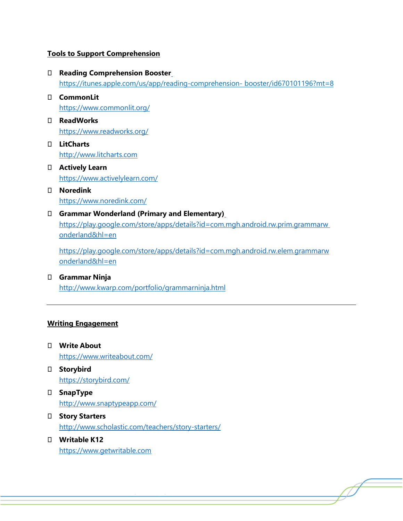#### **Tools to Support Comprehension**

- **Reading Comprehension Booste[r](https://itunes.apple.com/us/app/reading-comprehension-)** <https://itunes.apple.com/us/app/reading-comprehension-> [booster/id670101196?mt=8](https://itunes.apple.com/us/app/reading-comprehension-booster/id670101196?mt=8)
- **CommonLit** <https://www.commonlit.org/>
- **ReadWorks** <https://www.readworks.org/>
- **LitCharts** [http://www.litcharts.com](http://www.litcharts.com/)
- **Actively Learn** <https://www.activelylearn.com/>
- **Noredink** <https://www.noredink.com/>
- **Grammar Wonderland (Primary and Elementary[\)](https://play.google.com/store/apps/details?id=com.mgh.android.rw.prim.grammarwonderland&hl=en)** [https://play.google.com/store/apps/details?id=com.mgh.android.rw.prim.grammarw](https://play.google.com/store/apps/details?id=com.mgh.android.rw.prim.grammarwonderland&hl=en) [onderland&hl=en](https://play.google.com/store/apps/details?id=com.mgh.android.rw.prim.grammarwonderland&hl=en)

[https://play.google.com/store/apps/details?id=com.mgh.android.rw.elem.grammarw](https://play.google.com/store/apps/details?id=com.mgh.android.rw.elem.grammarwonderland&hl=en) [onderland&hl=en](https://play.google.com/store/apps/details?id=com.mgh.android.rw.elem.grammarwonderland&hl=en)

 **Grammar Ninja** <http://www.kwarp.com/portfolio/grammarninja.html>

# **Writing Engagement**

- **Write About** <https://www.writeabout.com/>
- **Storybird** <https://storybird.com/>
- **SnapType** <http://www.snaptypeapp.com/>
- **Story Starters** <http://www.scholastic.com/teachers/story-starters/>
- **Writable K12** [https://www.getwritable.com](https://www.getwritable.com/)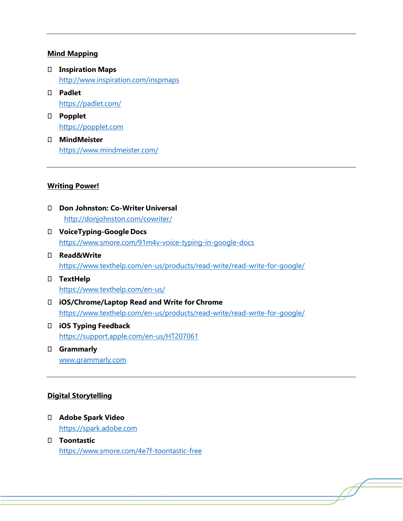#### **Mind Mapping**

- **Inspiration Maps** <http://www.inspiration.com/inspmaps>
- **Padlet** <https://padlet.com/>
- **Popplet** [https://popplet.com](https://popplet.com/)
- **MindMeister** <https://www.mindmeister.com/>

#### **Writing Power!**

- **Don Johnston: Co-Writer Universal** <http://donjohnston.com/cowriter/>
- **VoiceTyping-Google Docs** <https://www.smore.com/91m4v-voice-typing-in-google-docs>
- **Read&Write** <https://www.texthelp.com/en-us/products/read-write/read-write-for-google/>
- **TextHelp** <https://www.texthelp.com/en-us/>
- **iOS/Chrome/Laptop Read and Write for Chrome** <https://www.texthelp.com/en-us/products/read-write/read-write-for-google/>
- **iOS Typing Feedback** <https://support.apple.com/en-us/HT207061>
- **Grammarly** [www.grammarly.com](http://www.grammarly.com/)

#### **Digital Storytelling**

- **Adobe Spark Video** [https://spark.adobe.com](https://spark.adobe.com/)
- **Toontastic** <https://www.smore.com/4e7f-toontastic-free>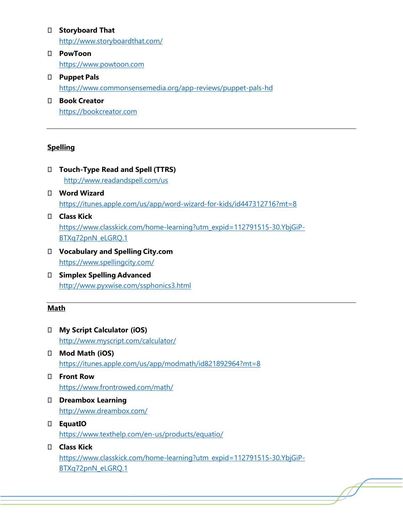### **Storyboard That**

<http://www.storyboardthat.com/>

- **PowToon** [https://www.powtoon.com](https://www.powtoon.com/)
- **Puppet Pals** <https://www.commonsensemedia.org/app-reviews/puppet-pals-hd>
- **Book Creator** [https://bookcreator.com](https://bookcreator.com/)

# **Spelling**

- **Touch-Type Read and Spell (TTRS)** <http://www.readandspell.com/us>
- **Word Wizard** <https://itunes.apple.com/us/app/word-wizard-for-kids/id447312716?mt=8>
- **Class Kick** [https://www.classkick.com/home-learning?utm\\_expid=112791515-30.YbjGiP-](https://www.classkick.com/home-learning?utm_expid=112791515-30.YbjGiP-BTXq72pnN_eLGRQ.1)[BTXq72pnN\\_eLGRQ.1](https://www.classkick.com/home-learning?utm_expid=112791515-30.YbjGiP-BTXq72pnN_eLGRQ.1)
- **Vocabulary and Spelling City.com** <https://www.spellingcity.com/>
- **Simplex Spelling Advanced** <http://www.pyxwise.com/ssphonics3.html>

# **Math**

- **My Script Calculator (iOS)** <http://www.myscript.com/calculator/>
- **Mod Math (iOS)** <https://itunes.apple.com/us/app/modmath/id821892964?mt=8>
- **Front Row** <https://www.frontrowed.com/math/>
- **Dreambox Learning** <http://www.dreambox.com/>
- **EquatIO** <https://www.texthelp.com/en-us/products/equatio/>
- **Class Kick** [https://www.classkick.com/home-learning?utm\\_expid=112791515-30.YbjGiP-](https://www.classkick.com/home-learning?utm_expid=112791515-30.YbjGiP-BTXq72pnN_eLGRQ.1)[BTXq72pnN\\_eLGRQ.1](https://www.classkick.com/home-learning?utm_expid=112791515-30.YbjGiP-BTXq72pnN_eLGRQ.1)